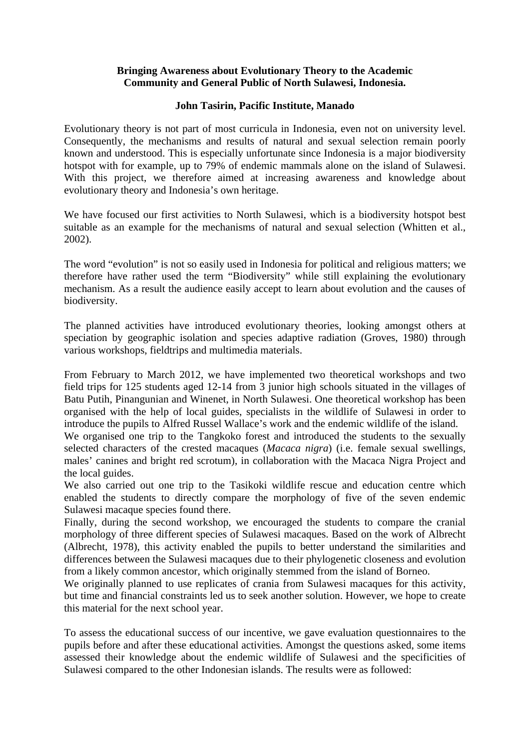## **Bringing Awareness about Evolutionary Theory to the Academic Community and General Public of North Sulawesi, Indonesia.**

## **John Tasirin, Pacific Institute, Manado**

Evolutionary theory is not part of most curricula in Indonesia, even not on university level. Consequently, the mechanisms and results of natural and sexual selection remain poorly known and understood. This is especially unfortunate since Indonesia is a major biodiversity hotspot with for example, up to 79% of endemic mammals alone on the island of Sulawesi. With this project, we therefore aimed at increasing awareness and knowledge about evolutionary theory and Indonesia's own heritage.

We have focused our first activities to North Sulawesi, which is a biodiversity hotspot best suitable as an example for the mechanisms of natural and sexual selection (Whitten et al., 2002).

The word "evolution" is not so easily used in Indonesia for political and religious matters; we therefore have rather used the term "Biodiversity" while still explaining the evolutionary mechanism. As a result the audience easily accept to learn about evolution and the causes of biodiversity.

The planned activities have introduced evolutionary theories, looking amongst others at speciation by geographic isolation and species adaptive radiation (Groves, 1980) through various workshops, fieldtrips and multimedia materials.

From February to March 2012, we have implemented two theoretical workshops and two field trips for 125 students aged 12-14 from 3 junior high schools situated in the villages of Batu Putih, Pinangunian and Winenet, in North Sulawesi. One theoretical workshop has been organised with the help of local guides, specialists in the wildlife of Sulawesi in order to introduce the pupils to Alfred Russel Wallace's work and the endemic wildlife of the island.

We organised one trip to the Tangkoko forest and introduced the students to the sexually selected characters of the crested macaques (*Macaca nigra*) (i.e. female sexual swellings, males' canines and bright red scrotum), in collaboration with the Macaca Nigra Project and the local guides.

We also carried out one trip to the Tasikoki wildlife rescue and education centre which enabled the students to directly compare the morphology of five of the seven endemic Sulawesi macaque species found there.

Finally, during the second workshop, we encouraged the students to compare the cranial morphology of three different species of Sulawesi macaques. Based on the work of Albrecht (Albrecht, 1978), this activity enabled the pupils to better understand the similarities and differences between the Sulawesi macaques due to their phylogenetic closeness and evolution from a likely common ancestor, which originally stemmed from the island of Borneo.

We originally planned to use replicates of crania from Sulawesi macaques for this activity, but time and financial constraints led us to seek another solution. However, we hope to create this material for the next school year.

To assess the educational success of our incentive, we gave evaluation questionnaires to the pupils before and after these educational activities. Amongst the questions asked, some items assessed their knowledge about the endemic wildlife of Sulawesi and the specificities of Sulawesi compared to the other Indonesian islands. The results were as followed: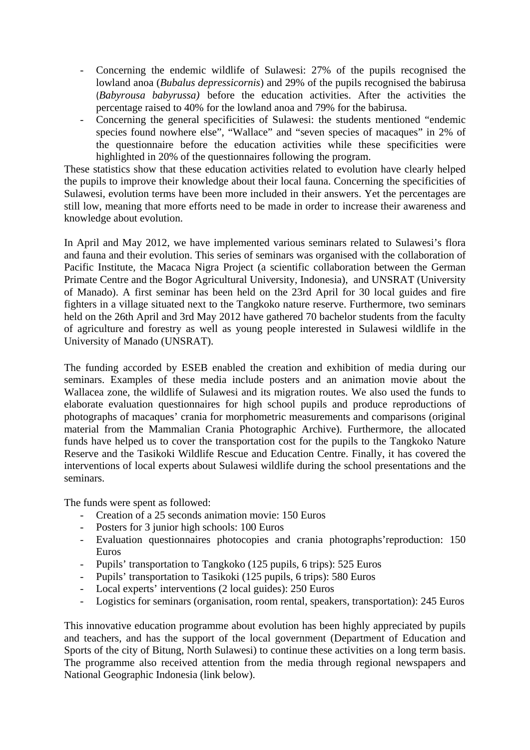- Concerning the endemic wildlife of Sulawesi: 27% of the pupils recognised the lowland anoa (*Bubalus depressicornis*) and 29% of the pupils recognised the babirusa (*Babyrousa babyrussa)* before the education activities. After the activities the percentage raised to 40% for the lowland anoa and 79% for the babirusa.
- Concerning the general specificities of Sulawesi: the students mentioned "endemic species found nowhere else", "Wallace" and "seven species of macaques" in 2% of the questionnaire before the education activities while these specificities were highlighted in 20% of the questionnaires following the program.

These statistics show that these education activities related to evolution have clearly helped the pupils to improve their knowledge about their local fauna. Concerning the specificities of Sulawesi, evolution terms have been more included in their answers. Yet the percentages are still low, meaning that more efforts need to be made in order to increase their awareness and knowledge about evolution.

In April and May 2012, we have implemented various seminars related to Sulawesi's flora and fauna and their evolution. This series of seminars was organised with the collaboration of Pacific Institute, the Macaca Nigra Project (a scientific collaboration between the German Primate Centre and the Bogor Agricultural University, Indonesia), and UNSRAT (University of Manado). A first seminar has been held on the 23rd April for 30 local guides and fire fighters in a village situated next to the Tangkoko nature reserve. Furthermore, two seminars held on the 26th April and 3rd May 2012 have gathered 70 bachelor students from the faculty of agriculture and forestry as well as young people interested in Sulawesi wildlife in the University of Manado (UNSRAT).

The funding accorded by ESEB enabled the creation and exhibition of media during our seminars. Examples of these media include posters and an animation movie about the Wallacea zone, the wildlife of Sulawesi and its migration routes. We also used the funds to elaborate evaluation questionnaires for high school pupils and produce reproductions of photographs of macaques' crania for morphometric measurements and comparisons (original material from the Mammalian Crania Photographic Archive). Furthermore, the allocated funds have helped us to cover the transportation cost for the pupils to the Tangkoko Nature Reserve and the Tasikoki Wildlife Rescue and Education Centre. Finally, it has covered the interventions of local experts about Sulawesi wildlife during the school presentations and the seminars.

The funds were spent as followed:

- Creation of a 25 seconds animation movie: 150 Euros
- Posters for 3 junior high schools: 100 Euros
- Evaluation questionnaires photocopies and crania photographs'reproduction: 150 Euros
- Pupils' transportation to Tangkoko (125 pupils, 6 trips): 525 Euros
- Pupils' transportation to Tasikoki (125 pupils, 6 trips): 580 Euros
- Local experts' interventions (2 local guides): 250 Euros
- Logistics for seminars (organisation, room rental, speakers, transportation): 245 Euros

This innovative education programme about evolution has been highly appreciated by pupils and teachers, and has the support of the local government (Department of Education and Sports of the city of Bitung, North Sulawesi) to continue these activities on a long term basis. The programme also received attention from the media through regional newspapers and National Geographic Indonesia (link below).